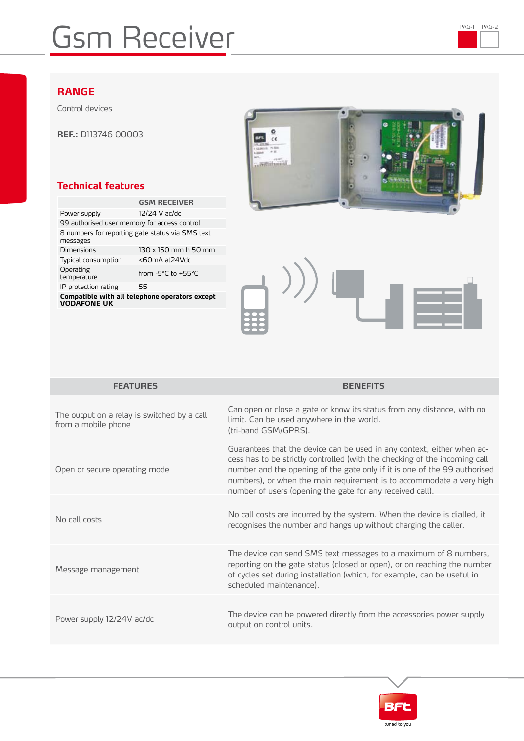## Gsm Receiver PAG-1 PAG-1 PAG-2

## **RANGE**

Control devices

**REF.:** D113746 00003

## **Technical features**

|                                                              | <b>GSM RECEIVER</b>  |  |
|--------------------------------------------------------------|----------------------|--|
| Power supply                                                 | 12/24 V ac/dc        |  |
| 99 authorised user memory for access control                 |                      |  |
| 8 numbers for reporting gate status via SMS text<br>messages |                      |  |
| Dimensions                                                   | 130 x 150 mm h 50 mm |  |
| Typical consumption                                          | <60mA at24Vdc        |  |
| Operating<br>temperature                                     | from -5°C to +55°C   |  |
| IP protection rating                                         | 55                   |  |
| Compatible with all telephone operators except               |                      |  |

**Compatible with all telephone operators except VODAFONE UK**



| <b>FEATURES</b>                                                    | <b>BENEFITS</b>                                                                                                                                                                                                                                                                                                                                                        |
|--------------------------------------------------------------------|------------------------------------------------------------------------------------------------------------------------------------------------------------------------------------------------------------------------------------------------------------------------------------------------------------------------------------------------------------------------|
| The output on a relay is switched by a call<br>from a mobile phone | Can open or close a gate or know its status from any distance, with no<br>limit. Can be used anywhere in the world.<br>(tri-band GSM/GPRS).                                                                                                                                                                                                                            |
| Open or secure operating mode                                      | Guarantees that the device can be used in any context, either when ac-<br>cess has to be strictly controlled (with the checking of the incoming call<br>number and the opening of the gate only if it is one of the 99 authorised<br>numbers), or when the main requirement is to accommodate a very high<br>number of users (opening the gate for any received call). |
| No call costs                                                      | No call costs are incurred by the system. When the device is dialled, it<br>recognises the number and hangs up without charging the caller.                                                                                                                                                                                                                            |
| Message management                                                 | The device can send SMS text messages to a maximum of 8 numbers,<br>reporting on the gate status (closed or open), or on reaching the number<br>of cycles set during installation (which, for example, can be useful in<br>scheduled maintenance).                                                                                                                     |
| Power supply 12/24V ac/dc                                          | The device can be powered directly from the accessories power supply<br>output on control units.                                                                                                                                                                                                                                                                       |